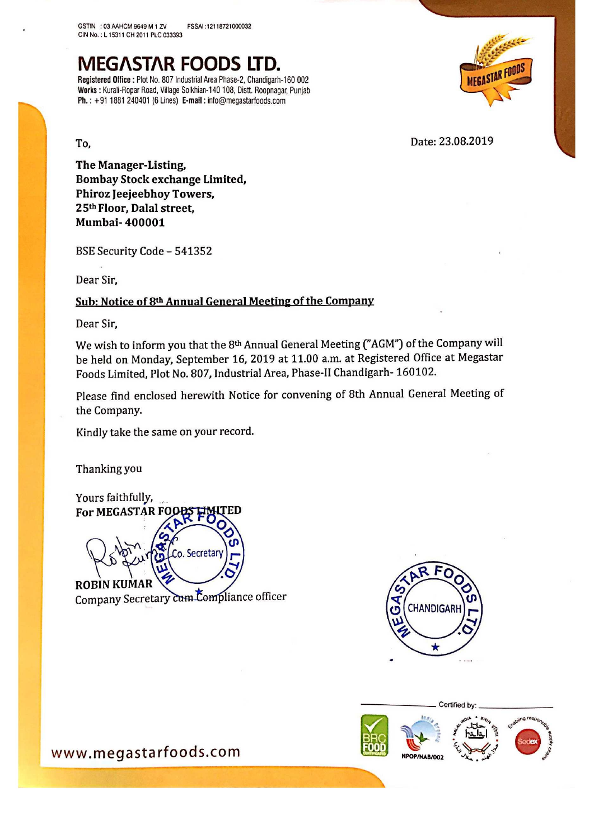# MEG/\STAR FOODS LTD.

Registered Office : Plot No. 807 Industrial Area Phase-2, Chandigarh-160 002 Works : Kurali-Ropar Road, Village Solkhian-140 108, Distt. Roopnagar, Punjab Ph: +91 <sup>1881</sup> <sup>240401</sup> (5 Lines) E-mail : info@megaslarloodsicom



To. 23.08.2019

The Manager-Listing, Bombay Stock exchange Limited, Phiroz leejeebhoy Towers, 25'h Floor, Dalal street, Mumbai- 400001

BSE Security Code — 541352

Dear Sir,

# Sub: Notice of 8th Annual General Meeting of the Company

Dear Sir,

We wish to inform you that the 8<sup>th</sup> Annual General Meeting ("AGM") of the Company will be held on Monday, September 16, <sup>2019</sup> at 11.00 am. at Registered Office at Megastar Foods Limited, Plot No. 807, Industrial Area, Phase-ll Chandigarh- 160102.

Please find enclosed herewith Notice for convening of 8th Annual General Meeting of the Company.

Kindly take the same on your record.

Thanking you

Yours faithfully,  $B_F$ For MEGASTAR FC o. Secretar **ROBIN KUM** Company Secretary <del>Cum C</del>ompliance officer



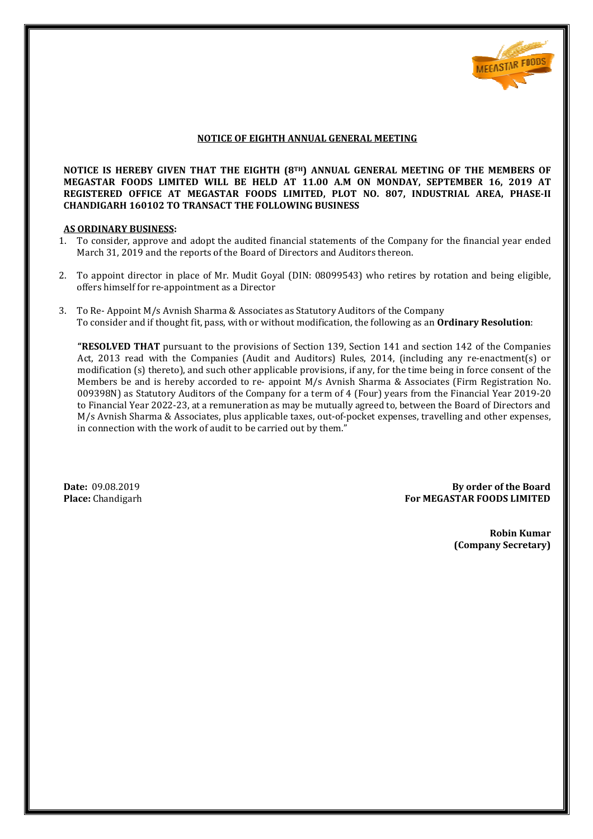

# **NOTICE OF EIGHTH ANNUAL GENERAL MEETING**

NOTICE OF EIGHTH ANNUAL GENERAL MEETING<br>NOTICE IS HEREBY GIVEN THAT THE EIGHTH (8™) ANNUAL GENERAL MEETING OF THE MEMBERS OF **MEGASTAR FOODS LIMITED WILL BE HELD AT 11.00 A.M ON MONDAY, SEPTEMBER 1 , 16, 2019 AT REGISTERED OFFICE AT MEGASTAR FOODS LIMITED, PLOT NO. 807, INDUSTRIAL AREA, PHASE PHASE-II CHANDIGARH 160102 TO TRANSACT THE FOLLOWING BUSINESS**

#### **AS ORDINARY BUSINESS:**

- 1. To consider, approve and adopt the audited financial statements of the Company for the financial year ended March 31, 2019 and the reports of the Board of Directors and Auditors thereon.
- 2. To appoint director in place of Mr. Mudit Goyal (DIN: 08099543) who retires by rotation and being eligible, offers himself for re-appointment as a Director
- 3. To Re- Appoint M/s Avnish Sharma & Associates as Statutory Auditors of the Company To consider and if thought fit, pass, with or without modification, the following as an **Ordinary Resolution**:

"RESOLVED THAT pursuant to the provisions of Section 139, Section 141 and section 142 of the Companies Act, 2013 read with the Companies (Audit and Auditors) Rules, 2014, (including any re-enactment(s) or modification (s) thereto), and such other applicable provisions, if any, for the time being in force consent of the Members be and is hereby accorded to re- appoint M/s Avnish Sharma & Associates (Firm Registration No. 009398N) as Statutory Auditors of the Company for a term of 4 (Four) years from the Financial Year 2019-20 to Financial Year 2022-23, at a remuneration as may be mutually agreed to, between the Board of Dir Directors and M/s Avnish Sharma & Associates, plus applicable taxes, out-of-pocket expenses, travelling and other expenses, in connection with the work of audit to be carried out by them."

**Date:** 09.08.2019 **Place:** Chandigarh **For MEGASTAR FOODS LIMITED By order of the Board** 

> **Robin Kumar (Company Secretary)**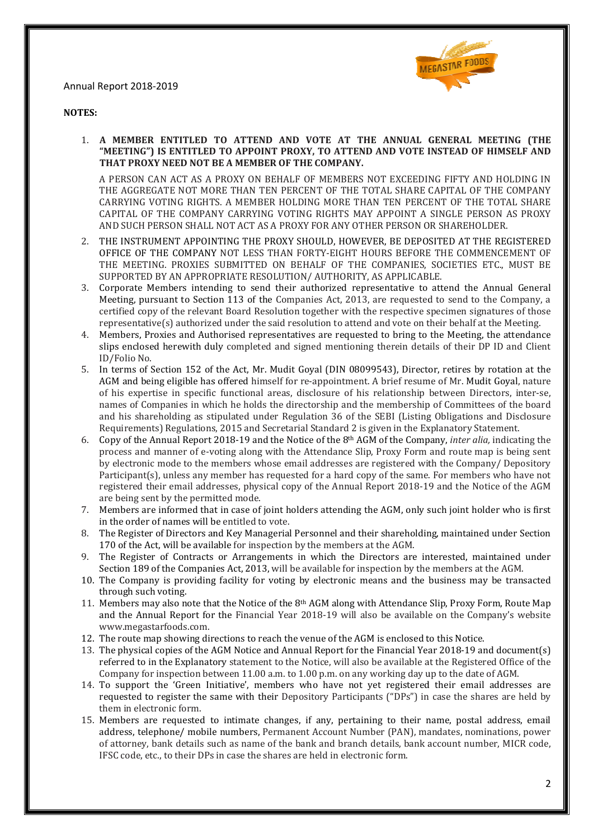

#### **NOTES:**

1. **A MEMBER ENTITLED TO ATTEND AND VOTE AT THE ANNUAL GENERAL MEETING (THE "MEETING") IS ENTITLED TO APPOINT PROXY, TO ATTEND AND VOTE INSTEAD OF HIMSELF AND THAT PROXY NEED NOT BE A MEMBER OF THE COMPANY.** 

A PERSON CAN ACT AS A PROXY ON BEHALF OF MEMBERS NOT EXCEEDING FIFTY AND HOLDING IN THE AGGREGATE NOT MORE THAN TEN PERCENT OF THE TOTAL SHARE CAPITAL OF THE COMPANY CARRYING VOTING RIGHTS. A MEMBER HOLDING MORE THAN TEN PERCENT OF THE TOTAL SHARE CAPITAL OF THE COMPANY CARRYING VOTING RIGHTS MAY APPOINT A SINGLE PERSON AS PROXY AND SUCH PERSON SHALL NOT ACT AS A PROXY FOR ANY OTHER PERSON OR SHAREHOLDER.

- 2. THE INSTRUMENT APPOINTING THE PROXY SHOULD, HOWEVER, BE DEPOSITED AT THE REGISTERED OFFICE OF THE COMPANY NOT LESS THAN FORTY-EIGHT HOURS BEFORE THE COMMENCEMENT OF THE MEETING. PROXIES SUBMITTED ON BEHALF OF THE COMPANIES, SOCIETIES ETC., MUST BE SUPPORTED BY AN APPROPRIATE RESOLUTION/ AUTHORITY, AS APPLICABLE.
- 3. Corporate Members intending to send their authorized representative to attend the Annual General Meeting, pursuant to Section 113 of the Companies Act, 2013, are requested to send to the Company, a certified copy of the relevant Board Resolution together with the respective specimen signatures of those representative(s) authorized under the said resolution to attend and vote on their behalf at the Meeting.
- 4. Members, Proxies and Authorised representatives are requested to bring to the Meeting, the attendance slips enclosed herewith duly completed and signed mentioning therein details of their DP ID and C ID/Folio No. ution to attend and vote on their behalf at the Meeting.<br>In are requested to bring to the Meeting, the attendance<br>Interpretive med mentioning therein details of their DP ID and Client
- 5. In terms of Section 152 of the Act, Mr. Mudit Goyal (DIN 08099543), Director, retires by rotation at the In terms of Section 152 of the Act, Mr. Mudit Goyal (DIN 08099543), Director, retires by rotation at the<br>AGM and being eligible has offered himself for re-appointment. A brief resume of Mr. Mudit Goyal, nature of his expertise in specific functional areas, disclosure of his relationship between Directors, inter-se, names of Companies in which he holds the directorship and the membership of Committees of the board and his shareholding as stipulated under Regulation 36 of the SEBI (Listing Obligations and Disclosure Requirements) Regulations, 2015 and Secretarial Standard 2 is given in the Explanatory Statement. of his expertise in specific functional areas, disclosure of his relationship between Directors, inter-se, names of Companies in which he holds the directorship and the membership of Committees of the board and his shareho
- process and manner of e-voting along with the Attendance Slip, Proxy Form and route map is being sent by electronic mode to the members whose email addresses are registered with the Company/ Depository Participant(s), unless any member has requested for a hard copy of the same. F For members who have not registered their email addresses, physical copy of the Annual Report 2018-19 and the Notice of the AGM are being sent by the permitted mode. registered their email addresses, physical copy of the Annual Report 2018-19 and the Notice of the AGM are being sent by the permitted mode.<br>7. Members are informed that in case of joint holders attending the AGM, only suc voting along with the Attendance Slip, Proxy Form and route map is being sent<br>members whose email addresses are registered with the Company/ Depository<br>member has requested for a hard copy of the same. For members who have
- in the order of names will be entitled to vote.
- 8. The Register of Directors and Key Managerial Personnel and their shareholding, maintained under Section 170 of the Act, will be available for inspection by the members at the AGM.
- 9. The Register of Contracts or Arrangements in which the Directors are interested, maintained under Section 189 of the Companies Act, 2013, will be available for inspection by the members at the AGM.
- 10. The Company is providing facility for voting by electronic means and the business may be transacted through such voting.
- 11. Members may also note that the Notice of the 8<sup>th</sup> AGM along with Attendance Slip, Proxy Form, Route Map and the Annual Report for the Financial Year 2018-19 will also be available on the Company's website www.megastarfoods.com. ctronic means and the business may be transacted<br>1 along with Attendance Slip, Proxy Form, Route Map<br>19 will also be available on the Company's website<br>of the AGM is enclosed to this Notice.<br>port for the Financial Year 201
- 12. The route map showing directions to reach the venue of the AGM is enclosed to this Notice.
- 13. The physical copies of the AGM Notice and Annual Report for the Financial Year 2018-19 and document(s) referred to in the Explanatory statement to the Notice, will also be available at the Registered Office of the Company for inspection between 11.00 a.m. to 1.00 p.m. on any working day up to the date of AGM. referred to in the Explanatory statement to the Notice, will also be available at the Registered Office of the<br>Company for inspection between 11.00 a.m. to 1.00 p.m. on any working day up to the date of AGM.<br>14. To support
- requested to register the same with their Depository Participants ("DPs") in case the shares are held by them in electronic form.
- 15. Members are requested to intimate changes, if any, pertaining to their name, postal address, email address, telephone/ mobile numbers, Permanent Account Number (PAN), mandates, nominations, power of attorney, bank details such as name of the bank and branch details, bank account number, MICR code, IFSC code, etc., to their DPs in case the shares are held in electronic form.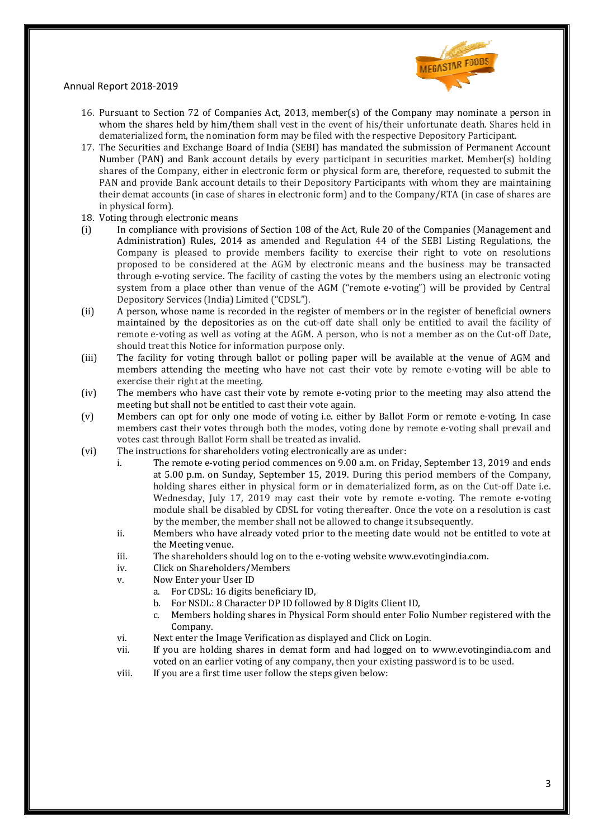

- 16. Pursuant to Section 72 of Companies Act, 2013, member(s) of the Company may nominate a person in whom the shares held by him/them shall vest in the event of his/their unfortunate death. Shares held in dematerialized form, the nomination form may be fi filed with the respective Depository Participant.
- 17. The Securities and Exchange Board of India (SEBI) has mandated the submission of Permanent Account Number (PAN) and Bank account details by every participant in securities market. Member(s) holding shares of the Company, either in electronic form or physical form are, therefore, requested to submit the PAN and provide Bank account details to their Depository Participants with whom they are maintaining their demat accounts (in case of shares in electronic form) and to the Company/RTA (in case of shares are in physical form).
- 18. Voting through electronic means
- (i) In compliance with provisions of Section 108 of the Act, Rule 20 of the Companies (Management and Administration) Rules, 2014 as amended and Regulation 44 of the SEBI Listing Regulations, the Company is pleased to provide members facility to exercise their right to vote on resolutions proposed to be considered at the AGM by electronic means and the business may be transacted through e-voting service. The facility of casting the votes by the members using an electronic voting system from a place other than venue of the AGM ("remote e-voting") will be provided by Central Depository Services (India) Limited ("CDSL"). Irm may be filed with the respective Depository Participant.<br>
India (SEBI) has mandated the submission of Permanent Account<br>
rails by every participant in securities market. Member(s) holding<br>
onic form or physical form a
- (ii) A person, whose name is recorded in the register of members or in the register of beneficial owners maintained by the depositories as on the cut-off date shall only be entitled to avail the facility of remote e-voting as well as voting at the AGM. A person, who is not a member as on the Cut-off Date, should treat this Notice for information purpose only.
- (iii) The facility for voting through ballot or polling paper will be available at the venue of AGM and remote e-voting as well as voting at the AGM. A person, who is not a member as on the Cut-off Date,<br>should treat this Notice for information purpose only.<br>The facility for voting through ballot or polling paper will be ava exercise their right at the meeting.
- exercise their right at the meeting.<br>(iv) The members who have cast their vote by remote e-voting prior to the meeting may also attend the meeting but shall not be entitled to cast their vote again. voting prior to the meeting may also attend the<br>in.<br>ther by Ballot Form or remote e-voting. In case
- (v) Members can opt for only one mode of voting i.e. either by Ballot Form o members cast their votes through both the modes, voting done by remote e-voting shall prevail and votes cast through Ballot Form shall be treated as invalid.
- (vi) The instructions for shareholders voting electronically are as under:
	- i. The remote e-voting period commences on 9.00 a.m. on Friday, September 13, 2019 and ends at 5.00 p.m. on Sunday, September 15, 2019. During this period members of the Company, holding shares either in physical form or in dematerialized form, as on the Cut-off Date i.e. Wednesday, July 17, 2019 may cast their vote by remote e-voting. The remote e-voting module shall be disabled by CDSL for voting thereafter. Once the vote on a resolution is cast by the member, the member shall not be allowed to change it subsequently.
	- ii. Members who have already voted prior to the meeting date would not be entitled to vote at the Meeting venue.
	- iii. The shareholders should log on to the e-voting website www.evotingindia.com.
	- iv. Click on Shareholders/Members
	- v. Now Enter your User ID
		- a. For CDSL: 16 digits beneficiary ID,
		- b. For NSDL: 8 Character DP ID followed by 8 Digits Client ID,
- c. Members holding shares in Physical Form sh should enter Folio Number registered with the Company. voting website<br>ed by 8 Digits (<br>Form should<br>played and Clic<br>m and had lo<sub>i</sub><br>y, then your e
	- vi. Next enter the Image Verification as displayed and Click on Login.
	- vii. If you are holding shares in demat form and had logged on to www.evotingindia.com and voted on an earlier voting of any company, then your existing password is to be used.
	- viii. If you are a first time user follow the steps given below: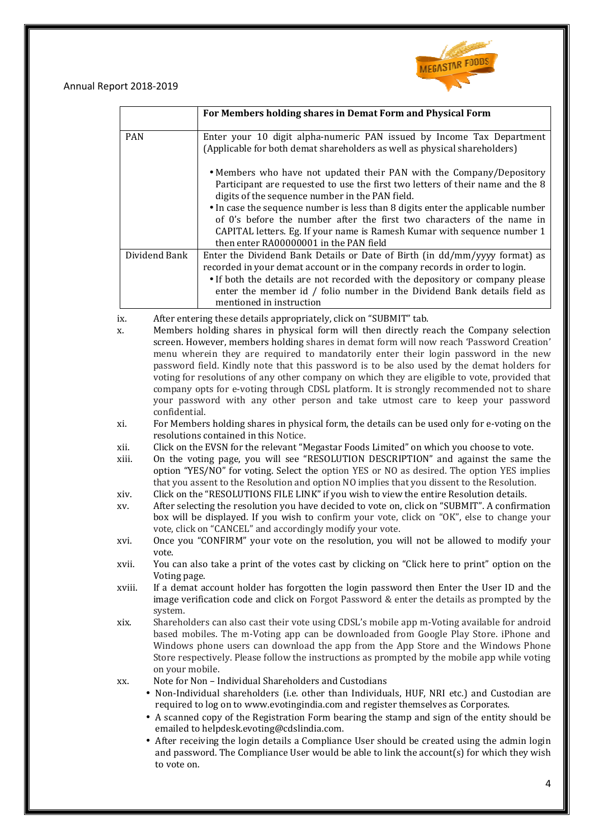

|               | For Members holding shares in Demat Form and Physical Form                                                                                                                                                                                                                                                                                        |
|---------------|---------------------------------------------------------------------------------------------------------------------------------------------------------------------------------------------------------------------------------------------------------------------------------------------------------------------------------------------------|
| <b>PAN</b>    | Enter your 10 digit alpha-numeric PAN issued by Income Tax Department<br>(Applicable for both demat shareholders as well as physical shareholders)                                                                                                                                                                                                |
|               | • Members who have not updated their PAN with the Company/Depository<br>Participant are requested to use the first two letters of their name and the 8<br>digits of the sequence number in the PAN field.                                                                                                                                         |
|               | • In case the sequence number is less than 8 digits enter the applicable number<br>of 0's before the number after the first two characters of the name in<br>CAPITAL letters. Eg. If your name is Ramesh Kumar with sequence number 1<br>then enter RA00000001 in the PAN field                                                                   |
| Dividend Bank | Enter the Dividend Bank Details or Date of Birth (in dd/mm/yyyy format) as<br>recorded in your demat account or in the company records in order to login.<br>• If both the details are not recorded with the depository or company please<br>enter the member id / folio number in the Dividend Bank details field as<br>mentioned in instruction |
| ix.<br>X.     | After entering these details appropriately, click on "SUBMIT" tab.<br>Members holding shares in physical form will then directly reach the Company selection<br>screen. However, members holding shares in demat form will now reach 'Password Creation'<br>menu wherein they are required to mandatorily enter their login password in the new   |

- x. Members holding shares in physical form will then directly reach the Company selection screen. However, members holding shares in demat form will now reach 'Password Creation' menu wherein they are required to mandatorily enter their login password in the new password field. Kindly note that this password is to be also used by the demat holders for voting for resolutions of any other company on which they are eligible to vote, provided that company opts for e-voting through CDSL platform. It is strongly recommended not to share your password with any other person and take utmost care to keep your password confidential.
- xi. For Members holding shares in physical form, the details can be used only for e e-voting on the resolutions contained in this Notice.
- xii. Click on the EVSN for the relevant " "Megastar Foods Limited" on which you choose to vote.
- xiii. On the voting page, you will see "RESOLUTION DESCRIPTION" and against the same the option "YES/NO" for voting. Select the option YES or NO as desired. The option YES implies that you assent to the Resolution and option NO implies that you dissent to the Resolution. " on which you choose to vote.<br>"TION" and against the same the<br>s desired. The option YES implies<br>t you dissent to the Resolution.<br>the entire Resolution details.<br>click on "SUBMIT". A confirmation
- xiv. Click on the "RESOLUTIONS FILE LINK" if you wish to view the entire Resolution details.
- xv. After selecting the resolution you have decided to vote on, click on "SUBMIT". that you assent to the Resolution and option NO implies that you dissent to the Resolution.<br>Click on the "RESOLUTIONS FILE LINK" if you wish to view the entire Resolution details.<br>After selecting the resolution you have de vote, click on "CANCEL" and accordingly modify your vote.
- xvi. Once you "CONFIRM" your vote on the resolution, you will not be allowed to modify your vote.
- xvii. You can also take a print of the votes cast by clicking on "Click here to print" option on the Voting page.
- xviii. If a demat account holder has forgotten the login password then Enter the User ID and the image verification code and click on Forgot Password & enter the details as prompted by the system.
- xix. Shareholders can also cast their vote using CDSL's mobile app m-Voting available for android based mobiles. The m m-Voting app can be downloaded from Google Play Store. iPhone and Windows phone users can download the app from the App Store and the Windows Phone Store respectively. Please follow the instructions as prompted by the mobile app while voting on your mobile. Voting app can be dov<br>can download the app<br>se follow the instructio<br>al Shareholders and Cu<br>olders (i.e. other than

xx. Note for Non – – Individual Shareholders and Custodians

- Non-Individual shareholders (i.e. other than Individuals, HUF, NRI etc.) and Custodian are required to log on to www.evotingindia.com and register themselves as Corporates.
- A scanned copy of the Registration Form bearing the stamp and sign of the entity should be emailed to helpdesk.evoting@cdslindia.com.
- After receiving the login details a Compliance User should be created using the admin login and password. The Compliance User would be able to link the account(s) for which they wish to vote on.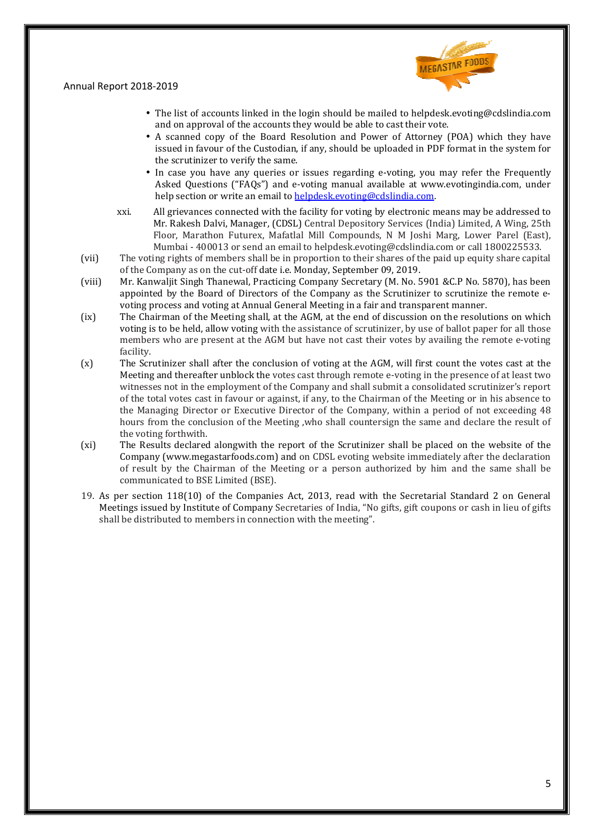

- The list of accounts linked in the login should be mailed to helpdesk.evoting@cdslindia.com and on approval of the accounts they would be able to cast their vote.
- A scanned copy of the Board Resolution and Power of Attorney (POA) which they have issued in favour of the Custodian, if any, should be uploaded in PDF format in the system for the scrutinizer to verify the same.
- In case you have any queries or issues regarding e-voting, you may refer the Frequently Asked Questions ("FAQs") and e-voting manual available at www.evotingindia.com, under help section or write an email to helpdesk.evoting@cdslindia.com h, if any, should be uploaded in PD<br>external in the voting, you<br>e-voting manual available at www.<br>helpdesk.evoting@cdslindia.com.
- xxi. All grievances connected with the facility for voting by electronic means may be addressed to Mr. Rakesh Dalvi, Manager, (CDSL) Central Depository Services (India) Limited, A Wing, 25th Floor, Marathon Futurex, Mafatlal Mill Compounds, N M Joshi Marg, Lower Parel (East), Mumbai - 400013 or send an email to helpdesk.evoting@cdslindia.com or call 1800225533.
- (vii) The voting rights of members shall be in proportion to their shares of the paid up equity share capital of the Company as on the cut-off date i.e. Monday, September 09, 2019. , Mafatlal Mill Compounds, N M Joshi Marg, Lower Parel (East), an email to helpdesk.evoting@cdslindia.com or call 1800225533.<br>Il be in proportion to their shares of the paid up equity share capital late i.e. Monday, Septem
- (viii) Mr. Kanwaljit Singh Thanewal, Practicing Company Secretary (M. No. 5901 & C.P No. 5870), has been appointed by the Board of Directors of the Company as the Scrutinizer to scrutinize the remote evoting process and voting at Annual General Meeting in a fair and transparent manner.
- (ix) The Chairman of the Meeting shall, at the AGM, at the end of discussion on the resolutions on which voting is to be held, allow voting with the assistance of scrutinizer, by use of ballot paper for all those members who are present at the AGM but have not cast their votes by availing the remote e-voting facility.
- (x) The Scrutinizer shall after the conclusion of voting at the AGM, will first count the votes cast at the Meeting and thereafter unblock the votes cast through remote e-voting in the presence of at least two witnesses not in the employment of the Company and shall submit a consolidated scrutinizer's report of the total votes cast in favour or against, if any, to the Chairman of the Meeting or in his absence to the Managing Director or Executive Director of the Company, within a period of not exceeding 48 hours from the conclusion of the Meeting ,who shall countersign the same and declare the result of the voting forthwith. voting<br>it a con<br>n of th<br>within<br>n the s<br>hall be<br>ite imn<br>ized by<br>? Secre<br>s, gift o
- (xi) The Results declared alongwith the report of the Scrutinizer shall be placed on the website of the Company (www.megastarfoods.com) and on CDSL evoting website immediately after the declaration of result by the Chairman of the Meeting or a person authorized by him and the same shall be communicated to BSE Limited (BSE) (BSE).
- 19. As per section 118(10) of the Companies Act, 2013, read with the Secretarial Standard 2 on General Meetings issued by Institute of Company Secretaries of India, "No gifts, gift coupons or cash in lieu of gifts shall be distributed to members in connection with the meeting".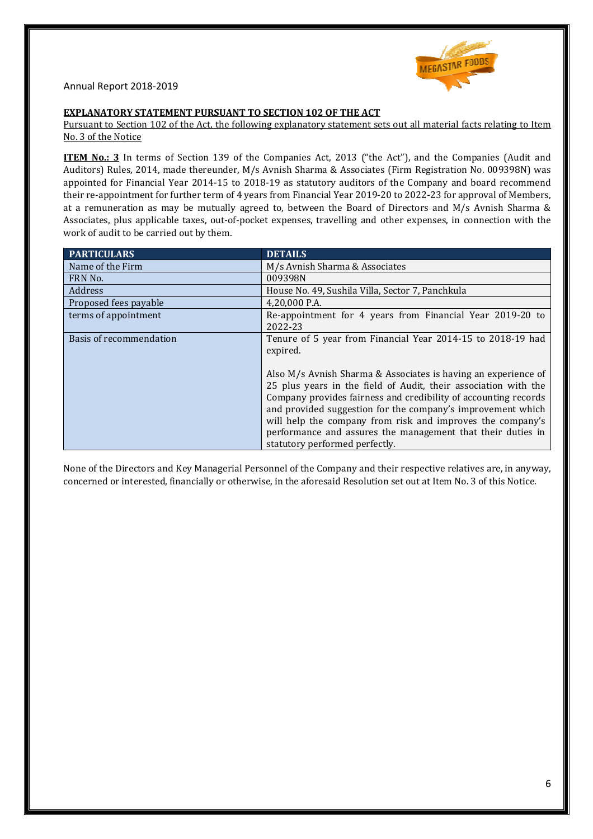

#### **EXPLANATORY STATEMENT PURSUANT TO SECTION 102 OF THE ACT**

#### Pursuant to Section 102 of the Act, the following explanatory statement sets out all material facts relating to Item No. 3 of the Notice

**ITEM No.: 3** In terms of Section 139 of the Companies Act, 2013 ("the Act"), and the Companies (Audit and Auditors) Rules, 2014, made thereunder, M/s Avnish Sharma & Associates (Firm Registration No. 009398N) was appointed for Financial Year 2014-15 to 2018-19 as statutory auditors of the Company and board recommend their re-appointment for further term of 4 years from Financial Year 2019-20 to 2022-23 for approval of Members, at a remuneration as may be mutually agreed to, between the Board of Directors and M/s Avnish Sharma & Associates, plus applicable taxes, out-of-pocket expenses, travelling and other expenses, in connection with the work of audit to be carried out by them.

| <b>PARTICULARS</b>      | <b>DETAILS</b>                                                                                                                                                                                                                                                                                                                                                                                                                     |
|-------------------------|------------------------------------------------------------------------------------------------------------------------------------------------------------------------------------------------------------------------------------------------------------------------------------------------------------------------------------------------------------------------------------------------------------------------------------|
| Name of the Firm        | M/s Avnish Sharma & Associates                                                                                                                                                                                                                                                                                                                                                                                                     |
| FRN No.                 | 009398N                                                                                                                                                                                                                                                                                                                                                                                                                            |
| Address                 | House No. 49, Sushila Villa, Sector 7, Panchkula                                                                                                                                                                                                                                                                                                                                                                                   |
| Proposed fees payable   | 4,20,000 P.A.                                                                                                                                                                                                                                                                                                                                                                                                                      |
| terms of appointment    | Re-appointment for 4 years from Financial Year 2019-20 to<br>2022-23                                                                                                                                                                                                                                                                                                                                                               |
| Basis of recommendation | Tenure of 5 year from Financial Year 2014-15 to 2018-19 had<br>expired.                                                                                                                                                                                                                                                                                                                                                            |
|                         | Also M/s Avnish Sharma & Associates is having an experience of<br>25 plus years in the field of Audit, their association with the<br>Company provides fairness and credibility of accounting records<br>and provided suggestion for the company's improvement which<br>will help the company from risk and improves the company's<br>performance and assures the management that their duties in<br>statutory performed perfectly. |

concerned or interested, financially or otherwise, in the aforesaid Resolution set out at Item No. 3 of this Notice.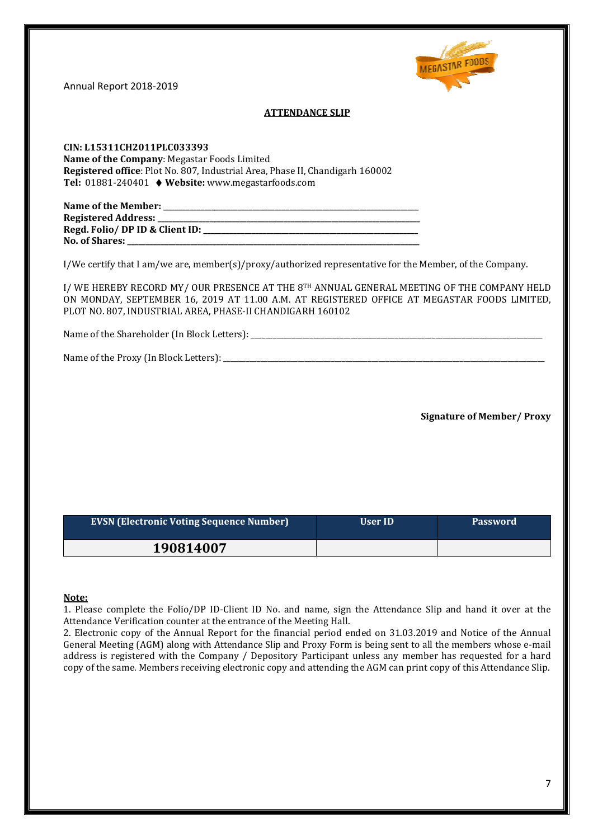

# **ATTENDANCE SLIP**

**CIN: L15311CH2011PLC033393 Name of the Company**: Megastar Foods Limited **Registered office**: Plot No. 807, Industrial Area, Phase II, Chandigarh 160002 **Tel:** 01881-240401 ♦ **Website:** www.megastarfoods.com

| Name of the Member:            |
|--------------------------------|
| <b>Registered Address:</b>     |
| Regd. Folio/DP ID & Client ID: |
| <b>No. of Shares:</b>          |

I/We certify that I am/we are, member(s)/proxy/authorized representative for the Member, of the Company.

I/ WE HEREBY RECORD MY/ OUR PRESENCE AT THE 8TH ANNUAL GENERAL MEETING OF THE COMPANY HELD I/We certify that I am/we are, member(s)/proxy/authorized representative for the Member, of the Company.<br>I/ WE HEREBY RECORD MY/ OUR PRESENCE AT THE 8™ ANNUAL GENERAL MEETING OF THE COMPANY HELD<br>ON MONDAY, SEPTEMBER 16, 20 PLOT NO. 807, INDUSTRIAL AREA, PHASE PHASE-II CHANDIGARH 160102

Name of the Shareholder (In Block Letters):

Name of the Proxy (In Block Letters): \_\_\_\_\_\_\_\_\_\_\_\_\_\_\_\_\_\_\_\_\_\_\_\_\_\_\_\_\_\_\_\_\_ \_\_\_\_\_\_\_\_\_\_\_\_\_\_\_\_\_\_\_\_\_\_\_\_\_\_\_\_\_\_\_\_\_\_\_\_\_\_\_\_\_\_\_\_\_\_\_\_\_\_\_\_\_\_\_\_\_\_\_\_\_\_\_\_\_\_\_\_\_\_\_\_\_\_\_\_\_\_\_\_\_\_\_\_\_\_\_ \_\_\_\_\_\_\_\_\_\_\_\_\_\_\_\_\_\_\_\_\_\_\_\_\_\_\_\_\_\_\_\_\_\_\_\_\_\_\_\_\_\_\_\_\_\_\_\_\_\_\_\_\_\_

**Signature of Member/ Proxy**

| <b>EVSN (Electronic Voting Sequence Number)</b> | User ID | <b>Password</b> |
|-------------------------------------------------|---------|-----------------|
| 190814007                                       |         |                 |

#### **Note:**

1. Please complete the Folio/DP ID-Client ID No. and name, sign the Attendance Slip and hand it over at the Attendance Verification counter at the entrance of the Meeting Hall.

2. Electronic copy of the Annual Report for the financial period ended on 31.03.201 31.03.2019 and Notice of the Annual General Meeting (AGM) along with Attendance Slip and Proxy Form is being sent to all the members whose e-mail address is registered with the Company / Depository Participant unless any member has requested for a hard copy of the same. Members receiving electronic copy and attending the AGM can print co copy of this Attendance Slip.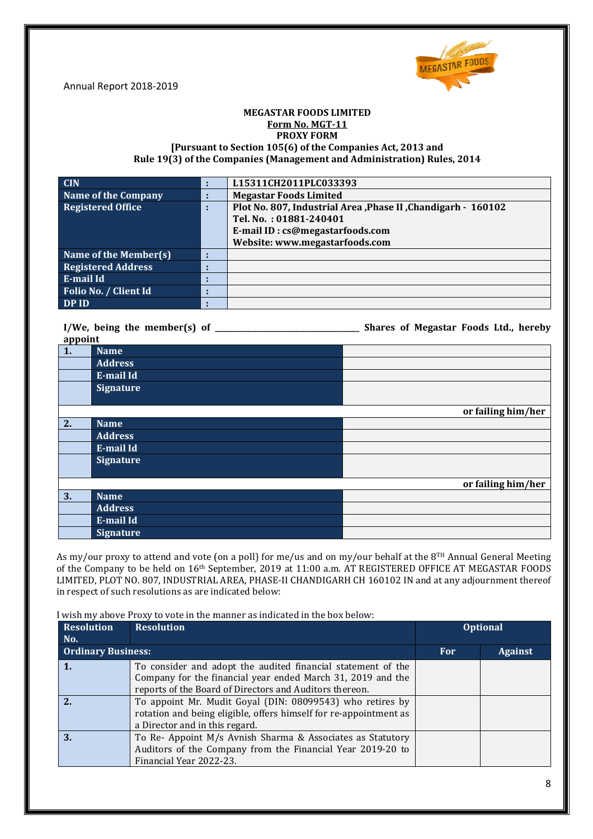

#### **MEGASTAR FOODS LIMITED Form No. MGT-11 PROXY FORM**

# **[Pursuant to Section 105(6) of the Companies Act, 2013 and Rule 19(3) of the Companies (Management and Administration) Rules, 2014**

| <b>CIN</b>                |                          | L15311CH2011PLC033393                                        |
|---------------------------|--------------------------|--------------------------------------------------------------|
| Name of the Company       |                          | <b>Megastar Foods Limited</b>                                |
| Registered Office         |                          | Plot No. 807, Industrial Area, Phase II, Chandigarh - 160102 |
|                           |                          | Tel. No.: 01881-240401                                       |
|                           |                          | E-mail ID: cs@megastarfoods.com                              |
|                           |                          | Website: www.megastarfoods.com                               |
| Name of the Member(s)     |                          |                                                              |
| <b>Registered Address</b> | $\blacksquare$           |                                                              |
| E-mail Id                 | ٠<br>٠                   |                                                              |
| Folio No. / Client Id     | л.                       |                                                              |
| DP ID                     | $\overline{\phantom{a}}$ |                                                              |

**I/We, being the member(s) of \_\_\_\_\_\_\_\_\_\_\_\_\_\_\_\_\_\_\_\_\_\_\_\_\_\_\_\_\_\_\_\_\_\_\_\_\_\_\_ \_\_\_\_\_\_\_\_\_\_\_\_\_\_\_\_\_\_\_\_\_\_\_\_\_\_\_\_\_\_\_\_\_\_\_\_\_\_\_ Shares of Megastar Foods Ltd. Ltd., hereby appoint** 

| 1. | <b>Name</b>      |                    |
|----|------------------|--------------------|
|    | <b>Address</b>   |                    |
|    | E-mail Id        |                    |
|    | <b>Signature</b> |                    |
|    |                  |                    |
|    |                  | or failing him/her |
| 2. | <b>Name</b>      |                    |
|    | <b>Address</b>   |                    |
|    | E-mail Id        |                    |
|    | <b>Signature</b> |                    |
|    |                  |                    |
|    |                  | or failing him/her |
| 3. | <b>Name</b>      |                    |
|    | <b>Address</b>   |                    |
|    | E-mail Id        |                    |
|    | <b>Signature</b> |                    |

As my/our proxy to attend and vote (on a poll) for me/us and on my/our behalf at the 8TH Annual General Meeting of the Company to be held on 16<sup>th</sup> September, 2019 at 11:00 a.m. AT REGISTERED OFFICE AT MEGASTAR FOODS LIMITED, PLOT NO. 807, INDUSTRIAL AREA, PHASE-II CHANDIGARH CH 160102 IN and at any adjournment thereof in respect of such resolutions as are indicated below:

I wish my above Proxy to vote in the manner as indicated in the box below:

| <b>Resolution</b>         | <b>Resolution</b>                                                 |            | <b>Optional</b> |
|---------------------------|-------------------------------------------------------------------|------------|-----------------|
| No.                       |                                                                   |            |                 |
| <b>Ordinary Business:</b> |                                                                   | <b>For</b> | <b>Against</b>  |
|                           | To consider and adopt the audited financial statement of the      |            |                 |
|                           | Company for the financial year ended March 31, 2019 and the       |            |                 |
|                           | reports of the Board of Directors and Auditors thereon.           |            |                 |
|                           | To appoint Mr. Mudit Goyal (DIN: 08099543) who retires by         |            |                 |
|                           | rotation and being eligible, offers himself for re-appointment as |            |                 |
|                           | a Director and in this regard.                                    |            |                 |
| 3.                        | To Re- Appoint M/s Avnish Sharma & Associates as Statutory        |            |                 |
|                           | Auditors of the Company from the Financial Year 2019-20 to        |            |                 |
|                           | Financial Year 2022-23.                                           |            |                 |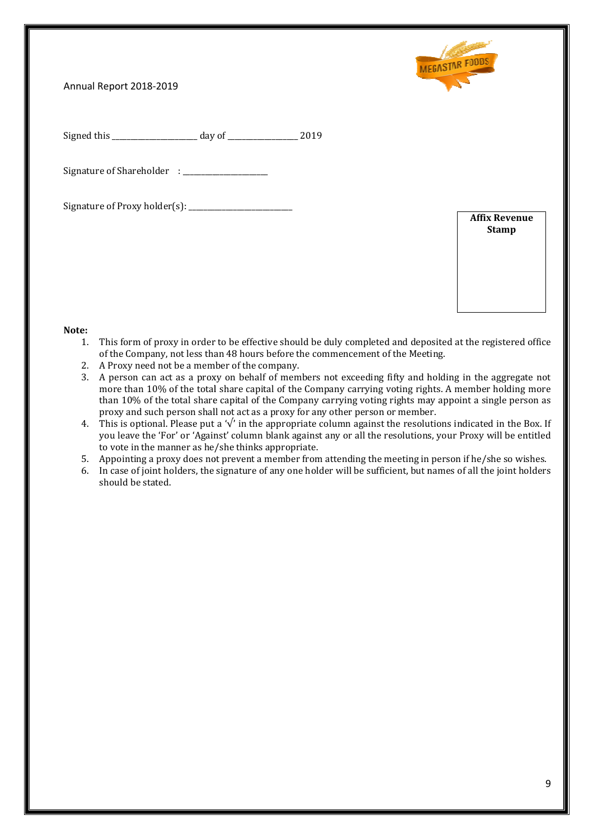

Signed this \_\_\_\_\_\_\_\_\_\_\_\_\_\_\_\_\_\_\_\_\_\_\_ day of \_\_\_\_\_\_\_\_\_\_\_\_\_\_\_\_\_\_\_ 2019

Signature of Shareholder : \_\_\_\_\_\_\_\_\_\_\_\_\_\_\_\_\_\_\_\_\_\_\_

Signature of Proxy holder(s):  $\frac{1}{2}$  [100]  $\frac{1}{2}$  [100]  $\frac{1}{2}$  [100]  $\frac{1}{2}$  [100]  $\frac{1}{2}$  [100]  $\frac{1}{2}$  [100]  $\frac{1}{2}$  [100]  $\frac{1}{2}$  [100]  $\frac{1}{2}$  [100]  $\frac{1}{2}$  [100]  $\frac{1}{2}$  [100]  $\frac{1}{2}$  [100]

**Affix Revenue Stamp** 

#### **Note:**

- 1. This form of proxy in order to be effective should be duly completed and deposited at the registered office of the Company, not less than 48 hours before the commencement of the Meeting. : **due of the complete of the completed and deposited at the registered office**<br>
and order to be effective should be duly completed and deposited at the registered office
- 2. A Proxy need not be a member of the company.
- 3. A person can act as a proxy on behalf of members not exceeding fifty and hold holding in the aggregate not more than 10% of the total share capital of the Company carrying voting rights. A member holding more than 10% of the total share capital of the Company carrying voting rights may appoint a single person as proxy and such person shall not act as a proxy for any other person or member.
- proxy and such person shall not act as a proxy for any other person or member.<br>4. This is optional. Please put a '√' in the appropriate column against the resolutions indicated in the Box. If This is optional. Please put a '√' in the appropriate column against the resolutions indicated in the Box. If<br>you leave the 'For' or 'Against' column blank against any or all the resolutions, your Proxy will be entitled to vote in the manner as he/she thinks appropriate.
- 5. Appointing a proxy does not prevent a member from attending the meeting in person if he/she so wishes.
- 6. In case of joint holders, the signature of any one holder will be sufficient, but names of all the joint holders should be stated.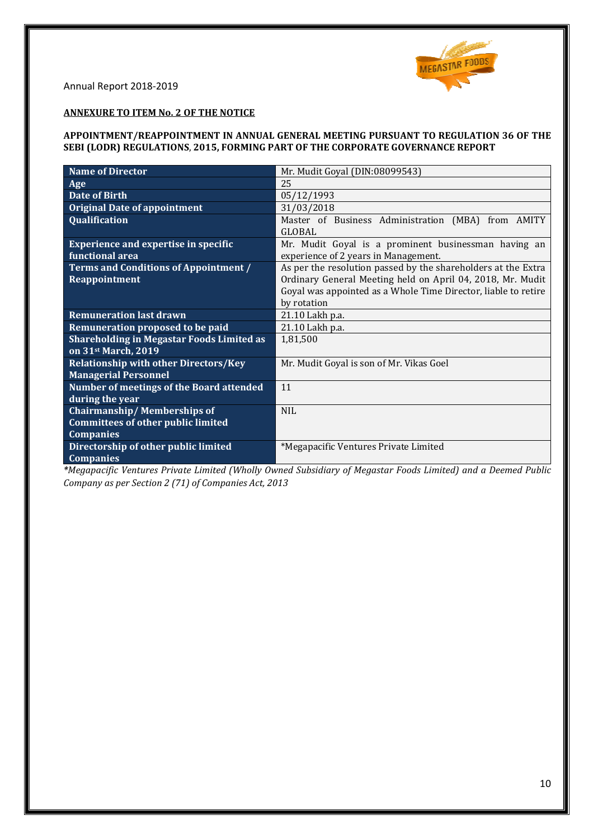

# **ANNEXURE TO ITEM No. 2 OF THE NOTICE**

## **APPOINTMENT/REAPPOINTMENT IN ANNUAL GENERAL MEETING PURSUANT TO REGULATION 36 OF THE SEBI (LODR) REGULATIONS**, **2015, FORMING PART OF THE CORPORATE GOVERNANCE REPORT**

| Name of Director                                 | Mr. Mudit Goyal (DIN:08099543)                                 |
|--------------------------------------------------|----------------------------------------------------------------|
| Age                                              | 25                                                             |
| <b>Date of Birth</b>                             | 05/12/1993                                                     |
| <b>Original Date of appointment</b>              | 31/03/2018                                                     |
| Qualification                                    | Master of Business Administration (MBA) from AMITY             |
|                                                  | <b>GLOBAL</b>                                                  |
| <b>Experience and expertise in specific</b>      | Mr. Mudit Goyal is a prominent businessman having an           |
| functional area                                  | experience of 2 years in Management.                           |
| <b>Terms and Conditions of Appointment /</b>     | As per the resolution passed by the shareholders at the Extra  |
| Reappointment                                    | Ordinary General Meeting held on April 04, 2018, Mr. Mudit     |
|                                                  | Goyal was appointed as a Whole Time Director, liable to retire |
|                                                  | by rotation                                                    |
| <b>Remuneration last drawn</b>                   | 21.10 Lakh p.a.                                                |
| Remuneration proposed to be paid                 | 21.10 Lakh p.a.                                                |
| <b>Shareholding in Megastar Foods Limited as</b> | 1,81,500                                                       |
| on 31st March, 2019                              |                                                                |
| <b>Relationship with other Directors/Key</b>     | Mr. Mudit Goyal is son of Mr. Vikas Goel                       |
| <b>Managerial Personnel</b>                      |                                                                |
| Number of meetings of the Board attended         | 11                                                             |
| during the year                                  |                                                                |
| <b>Chairmanship/Memberships of</b>               | <b>NIL</b>                                                     |
| <b>Committees of other public limited</b>        |                                                                |
| <b>Companies</b>                                 |                                                                |
| Directorship of other public limited             | *Megapacific Ventures Private Limited                          |
| <b>Companies</b>                                 |                                                                |

*\*Megapacific Ventures Private Limited (Wholly Owned Subsidiary of Megastar Foods Limited) and a Deemed Public Company as per Section 2 (71) of Companies Act, 2013*